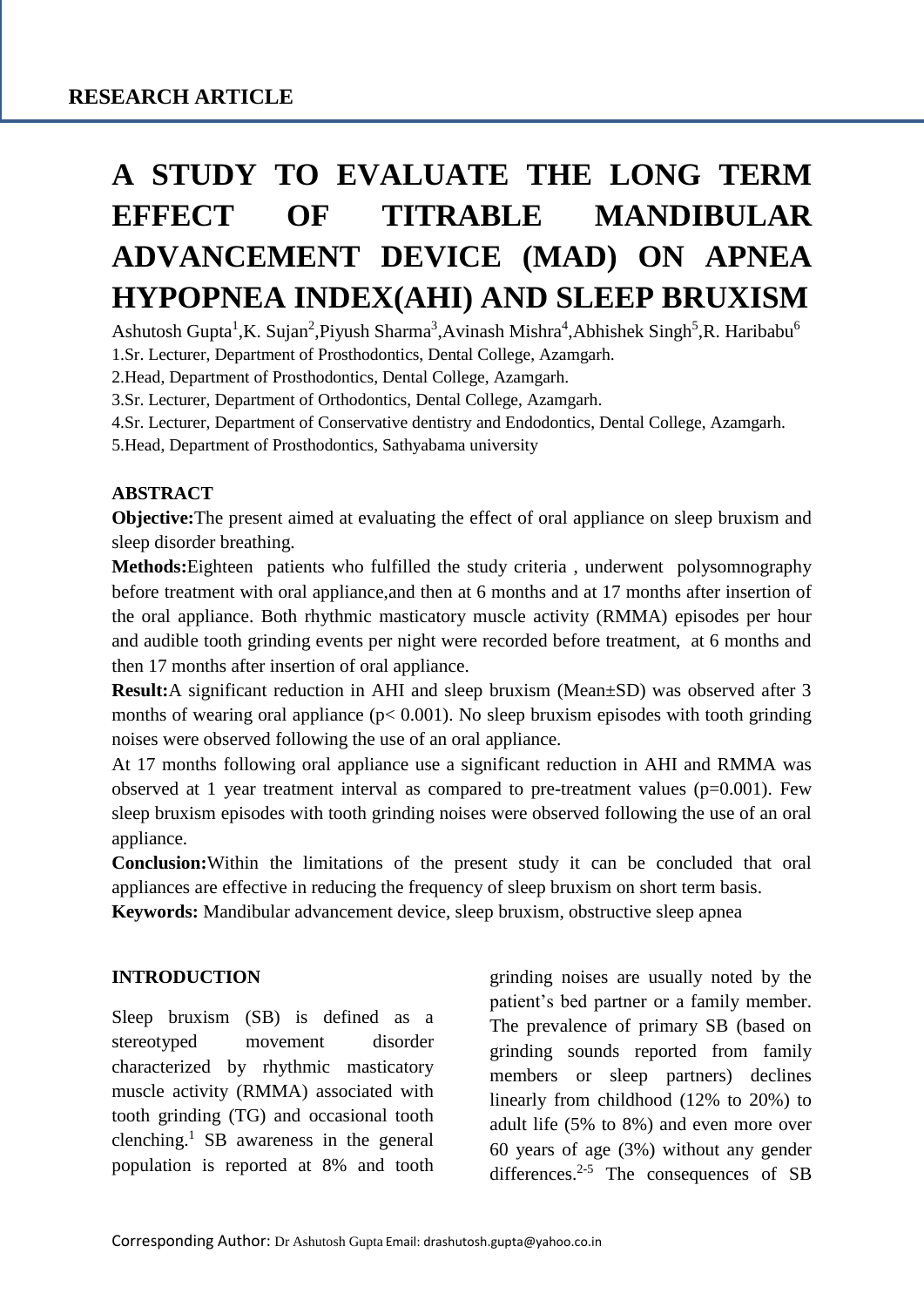# **A STUDY TO EVALUATE THE LONG TERM EFFECT OF TITRABLE MANDIBULAR ADVANCEMENT DEVICE (MAD) ON APNEA HYPOPNEA INDEX(AHI) AND SLEEP BRUXISM**

Ashutosh Gupta<sup>1</sup>, K. Sujan<sup>2</sup>, Piyush Sharma<sup>3</sup>, Avinash Mishra<sup>4</sup>, Abhishek Singh<sup>5</sup>, R. Haribabu<sup>6</sup> 1.Sr. Lecturer, Department of Prosthodontics, Dental College, Azamgarh.

2.Head, Department of Prosthodontics, Dental College, Azamgarh.

3.Sr. Lecturer, Department of Orthodontics, Dental College, Azamgarh.

4.Sr. Lecturer, Department of Conservative dentistry and Endodontics, Dental College, Azamgarh.

5.Head, Department of Prosthodontics, Sathyabama university

#### **ABSTRACT**

**Objective:** The present aimed at evaluating the effect of oral appliance on sleep bruxism and sleep disorder breathing.

**Methods:**Eighteen patients who fulfilled the study criteria , underwent polysomnography before treatment with oral appliance,and then at 6 months and at 17 months after insertion of the oral appliance. Both rhythmic masticatory muscle activity (RMMA) episodes per hour and audible tooth grinding events per night were recorded before treatment, at 6 months and then 17 months after insertion of oral appliance.

**Result:**A significant reduction in AHI and sleep bruxism (Mean±SD) was observed after 3 months of wearing oral appliance  $(p< 0.001)$ . No sleep bruxism episodes with tooth grinding noises were observed following the use of an oral appliance.

At 17 months following oral appliance use a significant reduction in AHI and RMMA was observed at 1 year treatment interval as compared to pre-treatment values  $(p=0.001)$ . Few sleep bruxism episodes with tooth grinding noises were observed following the use of an oral appliance.

**Conclusion:**Within the limitations of the present study it can be concluded that oral appliances are effective in reducing the frequency of sleep bruxism on short term basis.

**Keywords:** Mandibular advancement device, sleep bruxism, obstructive sleep apnea

#### **INTRODUCTION**

Sleep bruxism (SB) is defined as a stereotyped movement disorder characterized by rhythmic masticatory muscle activity (RMMA) associated with tooth grinding (TG) and occasional tooth clenching.<sup>1</sup> SB awareness in the general population is reported at 8% and tooth

grinding noises are usually noted by the patient's bed partner or a family member. The prevalence of primary SB (based on grinding sounds reported from family members or sleep partners) declines linearly from childhood (12% to 20%) to adult life (5% to 8%) and even more over 60 years of age (3%) without any gender differences.<sup>2-5</sup> The consequences of SB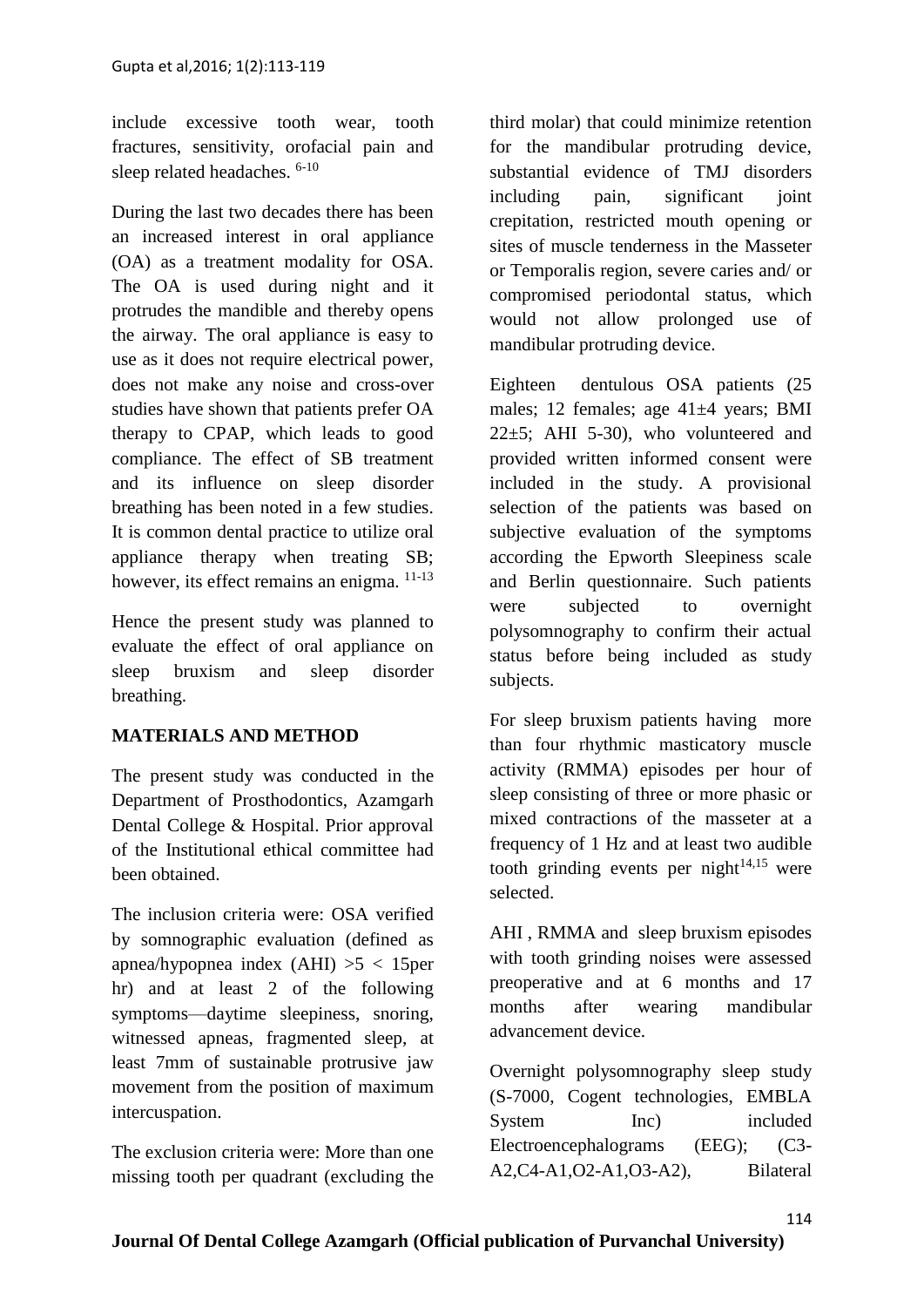include excessive tooth wear, tooth fractures, sensitivity, orofacial pain and sleep related headaches.  $6-10$ 

During the last two decades there has been an increased interest in oral appliance (OA) as a treatment modality for OSA. The OA is used during night and it protrudes the mandible and thereby opens the airway. The oral appliance is easy to use as it does not require electrical power, does not make any noise and cross-over studies have shown that patients prefer OA therapy to CPAP, which leads to good compliance. The effect of SB treatment and its influence on sleep disorder breathing has been noted in a few studies. It is common dental practice to utilize oral appliance therapy when treating SB; however, its effect remains an enigma.  $11-13$ 

Hence the present study was planned to evaluate the effect of oral appliance on sleep bruxism and sleep disorder breathing.

## **MATERIALS AND METHOD**

The present study was conducted in the Department of Prosthodontics, Azamgarh Dental College & Hospital. Prior approval of the Institutional ethical committee had been obtained.

The inclusion criteria were: OSA verified by somnographic evaluation (defined as apnea/hypopnea index (AHI) >5 < 15per hr) and at least 2 of the following symptoms—daytime sleepiness, snoring, witnessed apneas, fragmented sleep, at least 7mm of sustainable protrusive jaw movement from the position of maximum intercuspation.

The exclusion criteria were: More than one missing tooth per quadrant (excluding the third molar) that could minimize retention for the mandibular protruding device, substantial evidence of TMJ disorders including pain, significant joint crepitation, restricted mouth opening or sites of muscle tenderness in the Masseter or Temporalis region, severe caries and/ or compromised periodontal status, which would not allow prolonged use of mandibular protruding device.

Eighteen dentulous OSA patients (25 males; 12 females; age 41±4 years; BMI  $22\pm5$ ; AHI 5-30), who volunteered and provided written informed consent were included in the study. A provisional selection of the patients was based on subjective evaluation of the symptoms according the Epworth Sleepiness scale and Berlin questionnaire. Such patients were subjected to overnight polysomnography to confirm their actual status before being included as study subjects.

For sleep bruxism patients having more than four rhythmic masticatory muscle activity (RMMA) episodes per hour of sleep consisting of three or more phasic or mixed contractions of the masseter at a frequency of 1 Hz and at least two audible tooth grinding events per night $14,15$  were selected.

AHI , RMMA and sleep bruxism episodes with tooth grinding noises were assessed preoperative and at 6 months and 17 months after wearing mandibular advancement device.

Overnight polysomnography sleep study (S-7000, Cogent technologies, EMBLA System Inc) included Electroencephalograms (EEG); (C3- A2,C4-A1,O2-A1,O3-A2), Bilateral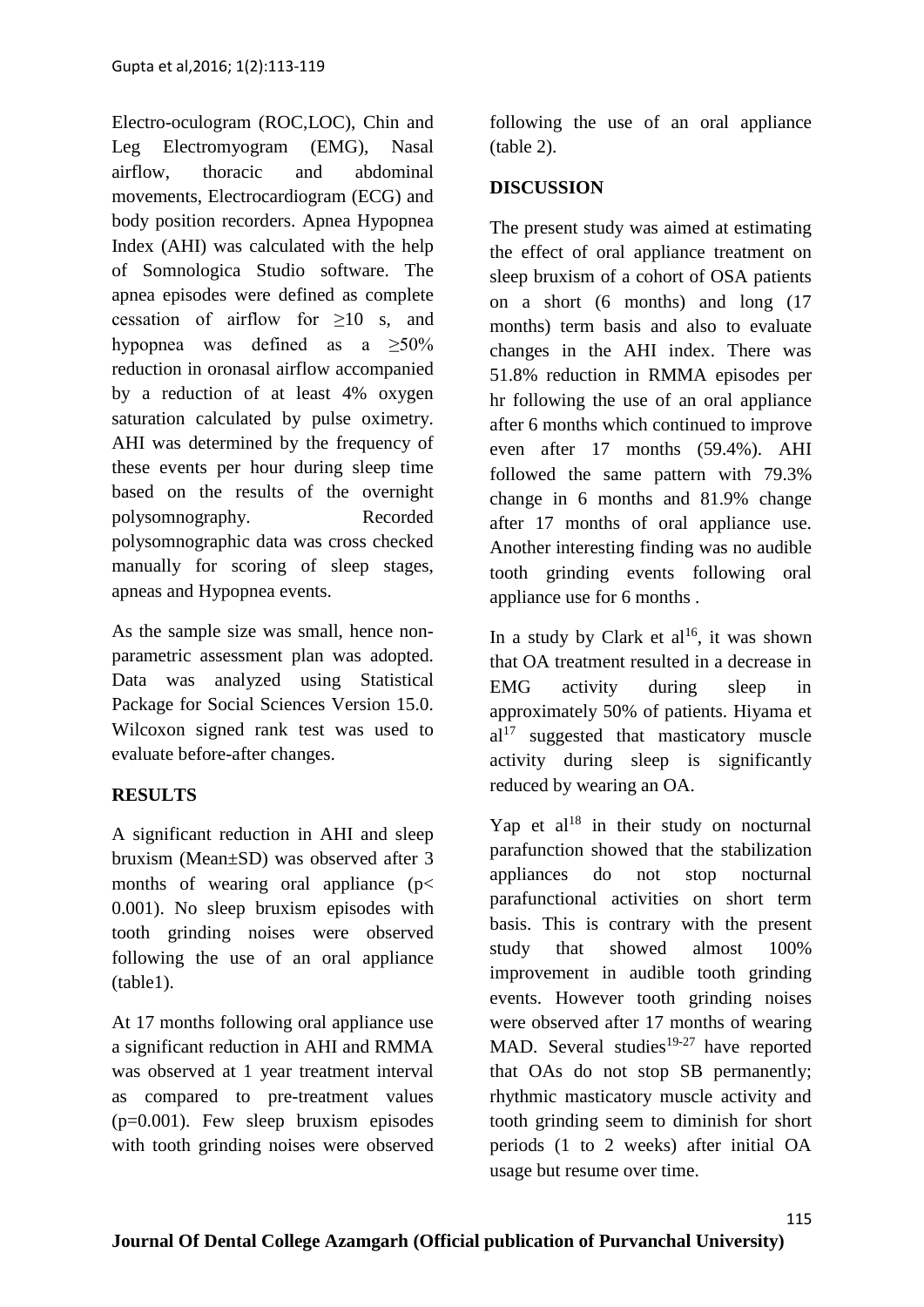Electro-oculogram (ROC,LOC), Chin and Leg Electromyogram (EMG), Nasal airflow, thoracic and abdominal movements, Electrocardiogram (ECG) and body position recorders. Apnea Hypopnea Index (AHI) was calculated with the help of Somnologica Studio software. The apnea episodes were defined as complete cessation of airflow for ≥10 s, and hypopnea was defined as a  $\geq 50\%$ reduction in oronasal airflow accompanied by a reduction of at least 4% oxygen saturation calculated by pulse oximetry. AHI was determined by the frequency of these events per hour during sleep time based on the results of the overnight polysomnography. Recorded polysomnographic data was cross checked manually for scoring of sleep stages, apneas and Hypopnea events.

As the sample size was small, hence nonparametric assessment plan was adopted. Data was analyzed using Statistical Package for Social Sciences Version 15.0. Wilcoxon signed rank test was used to evaluate before-after changes.

## **RESULTS**

A significant reduction in AHI and sleep bruxism (Mean±SD) was observed after 3 months of wearing oral appliance  $(p<$ 0.001). No sleep bruxism episodes with tooth grinding noises were observed following the use of an oral appliance (table1).

At 17 months following oral appliance use a significant reduction in AHI and RMMA was observed at 1 year treatment interval as compared to pre-treatment values (p=0.001). Few sleep bruxism episodes with tooth grinding noises were observed following the use of an oral appliance (table 2).

## **DISCUSSION**

The present study was aimed at estimating the effect of oral appliance treatment on sleep bruxism of a cohort of OSA patients on a short (6 months) and long (17 months) term basis and also to evaluate changes in the AHI index. There was 51.8% reduction in RMMA episodes per hr following the use of an oral appliance after 6 months which continued to improve even after 17 months (59.4%). AHI followed the same pattern with 79.3% change in 6 months and 81.9% change after 17 months of oral appliance use. Another interesting finding was no audible tooth grinding events following oral appliance use for 6 months .

In a study by Clark et  $al^{16}$ , it was shown that OA treatment resulted in a decrease in EMG activity during sleep in approximately 50% of patients. Hiyama et  $al<sup>17</sup>$  suggested that masticatory muscle activity during sleep is significantly reduced by wearing an OA.

Yap et  $al^{18}$  in their study on nocturnal parafunction showed that the stabilization appliances do not stop nocturnal parafunctional activities on short term basis. This is contrary with the present study that showed almost 100% improvement in audible tooth grinding events. However tooth grinding noises were observed after 17 months of wearing MAD. Several studies $19-27$  have reported that OAs do not stop SB permanently; rhythmic masticatory muscle activity and tooth grinding seem to diminish for short periods (1 to 2 weeks) after initial OA usage but resume over time.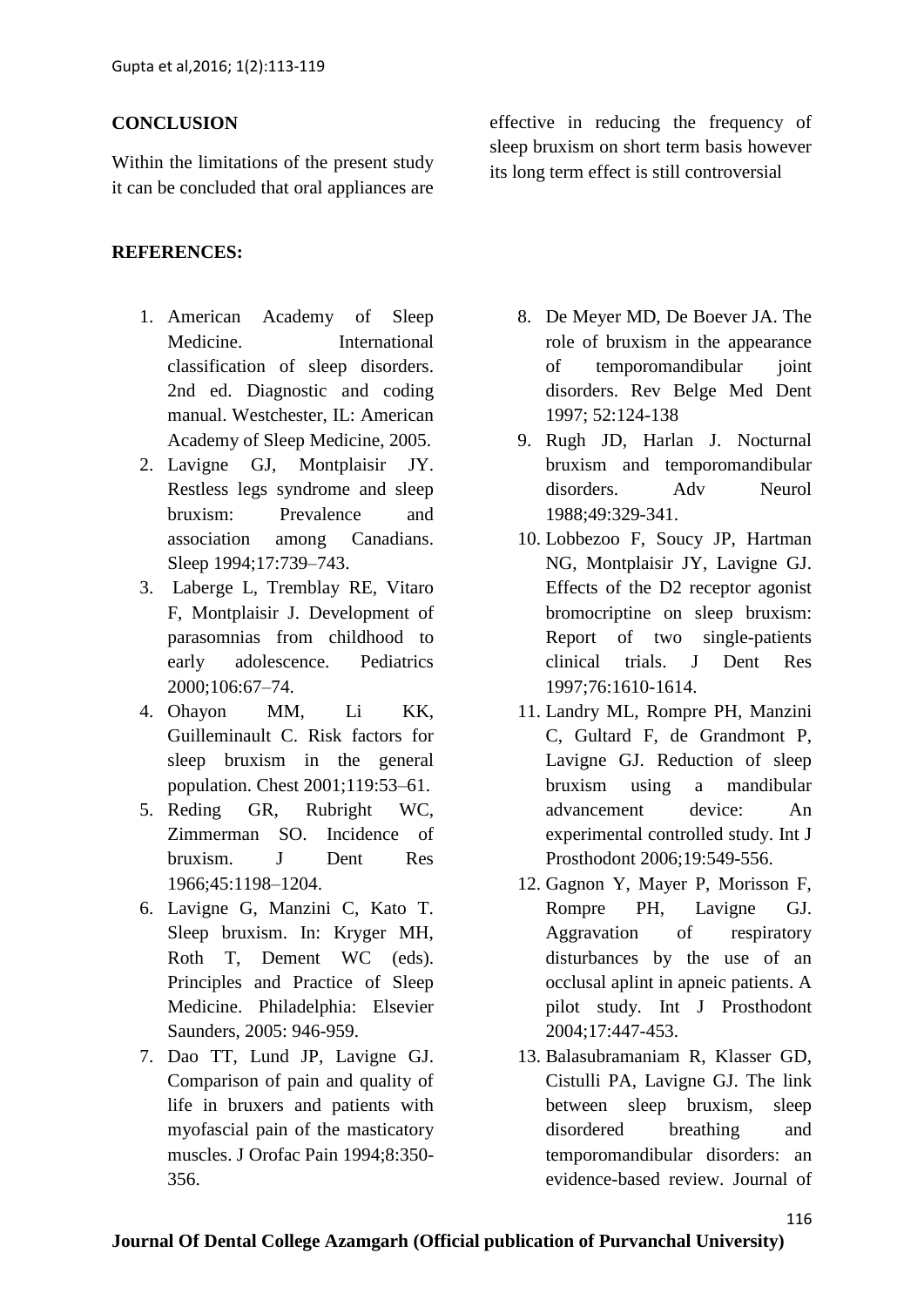## **CONCLUSION**

Within the limitations of the present study it can be concluded that oral appliances are

#### **REFERENCES:**

- 1. American Academy of Sleep Medicine. International classification of sleep disorders. 2nd ed. Diagnostic and coding manual. Westchester, IL: American Academy of Sleep Medicine, 2005.
- 2. Lavigne GJ, Montplaisir JY. Restless legs syndrome and sleep bruxism: Prevalence and association among Canadians. Sleep 1994;17:739–743.
- 3. Laberge L, Tremblay RE, Vitaro F, Montplaisir J. Development of parasomnias from childhood to early adolescence. Pediatrics 2000;106:67–74.
- 4. Ohayon MM, Li KK, Guilleminault C. Risk factors for sleep bruxism in the general population. Chest 2001;119:53–61.
- 5. Reding GR, Rubright WC, Zimmerman SO. Incidence of bruxism. J Dent Res 1966;45:1198–1204.
- 6. Lavigne G, Manzini C, Kato T. Sleep bruxism. In: Kryger MH, Roth T, Dement WC (eds). Principles and Practice of Sleep Medicine. Philadelphia: Elsevier Saunders, 2005: 946-959.
- 7. Dao TT, Lund JP, Lavigne GJ. Comparison of pain and quality of life in bruxers and patients with myofascial pain of the masticatory muscles. J Orofac Pain 1994;8:350- 356.

effective in reducing the frequency of sleep bruxism on short term basis however its long term effect is still controversial

- 8. De Meyer MD, De Boever JA. The role of bruxism in the appearance of temporomandibular joint disorders. Rev Belge Med Dent 1997; 52:124-138
- 9. Rugh JD, Harlan J. Nocturnal bruxism and temporomandibular disorders. Adv Neurol 1988;49:329-341.
- 10. Lobbezoo F, Soucy JP, Hartman NG, Montplaisir JY, Lavigne GJ. Effects of the D2 receptor agonist bromocriptine on sleep bruxism: Report of two single-patients clinical trials. J Dent Res 1997;76:1610-1614.
- 11. Landry ML, Rompre PH, Manzini C, Gultard F, de Grandmont P, Lavigne GJ. Reduction of sleep bruxism using a mandibular advancement device: An experimental controlled study. Int J Prosthodont 2006;19:549-556.
- 12. Gagnon Y, Mayer P, Morisson F, Rompre PH, Lavigne GJ. Aggravation of respiratory disturbances by the use of an occlusal aplint in apneic patients. A pilot study. Int J Prosthodont 2004;17:447-453.
- 13. Balasubramaniam R, Klasser GD, Cistulli PA, Lavigne GJ. The link between sleep bruxism, sleep disordered breathing and temporomandibular disorders: an evidence-based review. Journal of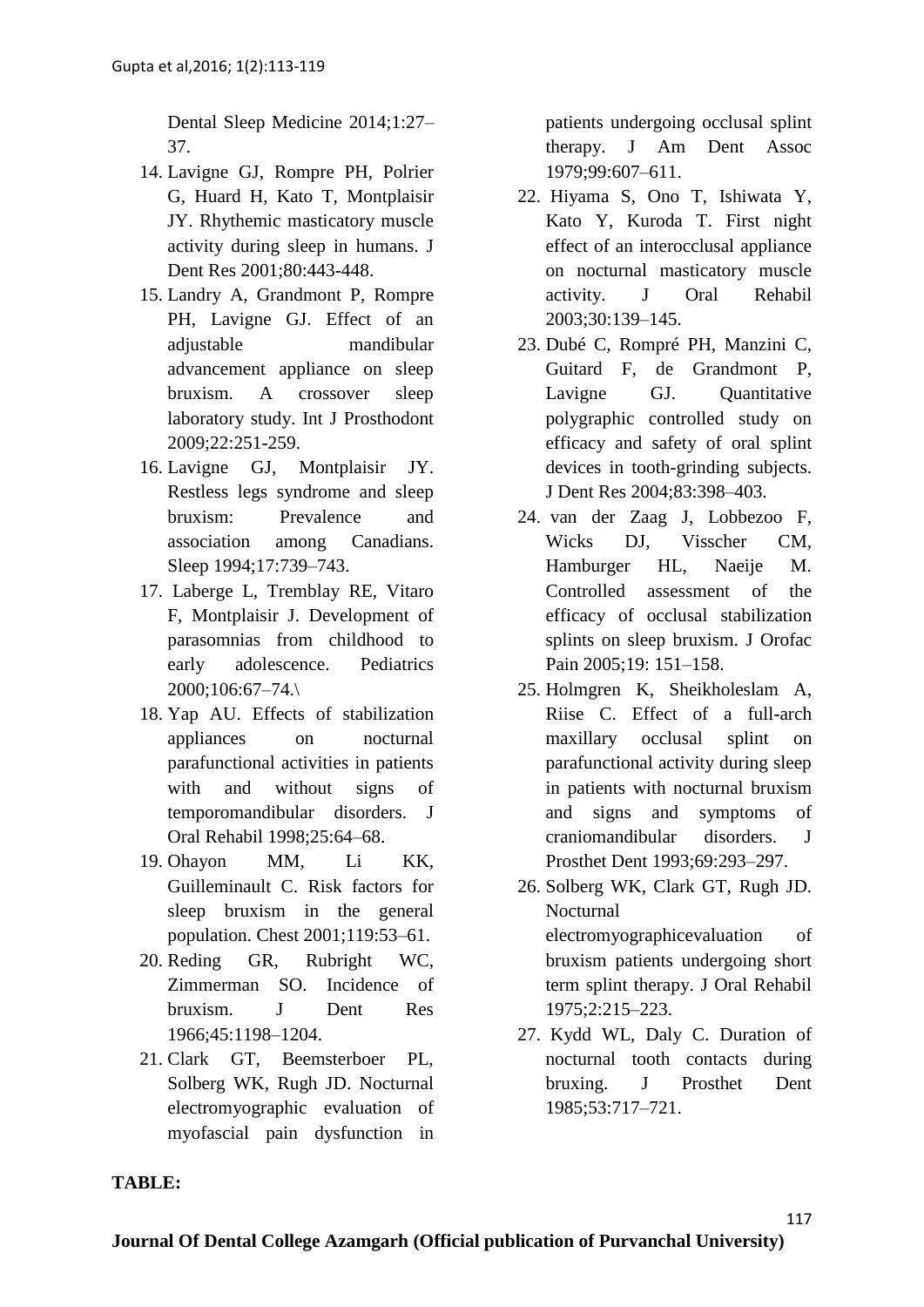Dental Sleep Medicine 2014;1:27– 37.

- 14. Lavigne GJ, Rompre PH, Polrier G, Huard H, Kato T, Montplaisir JY. Rhythemic masticatory muscle activity during sleep in humans. J Dent Res 2001;80:443-448.
- 15. Landry A, Grandmont P, Rompre PH, Lavigne GJ. Effect of an adjustable mandibular advancement appliance on sleep bruxism. A crossover sleep laboratory study. Int J Prosthodont 2009;22:251-259.
- 16. Lavigne GJ, Montplaisir JY. Restless legs syndrome and sleep bruxism: Prevalence and association among Canadians. Sleep 1994;17:739–743.
- 17. Laberge L, Tremblay RE, Vitaro F, Montplaisir J. Development of parasomnias from childhood to early adolescence. Pediatrics 2000;106:67–74.\
- 18. Yap AU. Effects of stabilization appliances on nocturnal parafunctional activities in patients with and without signs of temporomandibular disorders. J Oral Rehabil 1998;25:64–68.
- 19. Ohayon MM, Li KK, Guilleminault C. Risk factors for sleep bruxism in the general population. Chest 2001;119:53–61.
- 20. Reding GR, Rubright WC, Zimmerman SO. Incidence of bruxism. J Dent Res 1966;45:1198–1204.
- 21. Clark GT, Beemsterboer PL, Solberg WK, Rugh JD. Nocturnal electromyographic evaluation of myofascial pain dysfunction in

patients undergoing occlusal splint therapy. J Am Dent Assoc 1979;99:607–611.

- 22. Hiyama S, Ono T, Ishiwata Y, Kato Y, Kuroda T. First night effect of an interocclusal appliance on nocturnal masticatory muscle activity. J Oral Rehabil 2003;30:139–145.
- 23. Dubé C, Rompré PH, Manzini C, Guitard F, de Grandmont P, Lavigne GJ. Quantitative polygraphic controlled study on efficacy and safety of oral splint devices in tooth-grinding subjects. J Dent Res 2004;83:398–403.
- 24. van der Zaag J, Lobbezoo F, Wicks DJ, Visscher CM, Hamburger HL, Naeije M. Controlled assessment of the efficacy of occlusal stabilization splints on sleep bruxism. J Orofac Pain 2005;19: 151–158.
- 25. Holmgren K, Sheikholeslam A, Riise C. Effect of a full-arch maxillary occlusal splint on parafunctional activity during sleep in patients with nocturnal bruxism and signs and symptoms of craniomandibular disorders. J Prosthet Dent 1993;69:293–297.
- 26. Solberg WK, Clark GT, Rugh JD. Nocturnal electromyographicevaluation of bruxism patients undergoing short term splint therapy. J Oral Rehabil 1975;2:215–223.
- 27. Kydd WL, Daly C. Duration of nocturnal tooth contacts during bruxing. J Prosthet Dent 1985;53:717–721.

#### **TABLE:**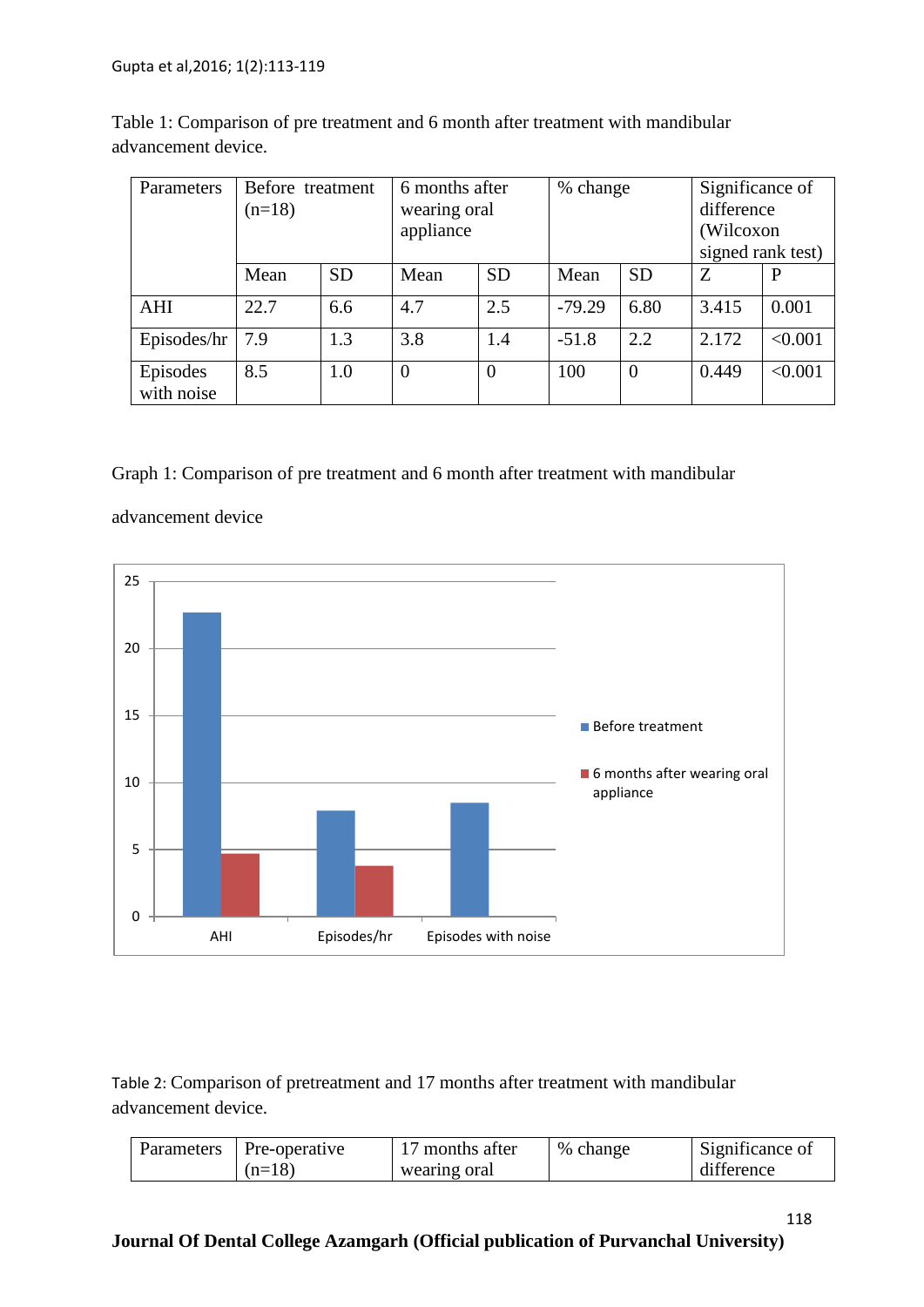| Parameters             | Before treatment<br>$(n=18)$ |           | 6 months after<br>wearing oral<br>appliance |           | % change |                | Significance of<br>difference<br>(Wilcoxon<br>signed rank test) |         |
|------------------------|------------------------------|-----------|---------------------------------------------|-----------|----------|----------------|-----------------------------------------------------------------|---------|
|                        | Mean                         | <b>SD</b> | Mean                                        | <b>SD</b> | Mean     | <b>SD</b>      | Ζ                                                               | P       |
| AHI                    | 22.7                         | 6.6       | 4.7                                         | 2.5       | $-79.29$ | 6.80           | 3.415                                                           | 0.001   |
| Episodes/hr            | 7.9                          | 1.3       | 3.8                                         | 1.4       | $-51.8$  | 2.2            | 2.172                                                           | < 0.001 |
| Episodes<br>with noise | 8.5                          | 1.0       | $\overline{0}$                              | $\theta$  | 100      | $\overline{0}$ | 0.449                                                           | < 0.001 |

Table 1: Comparison of pre treatment and 6 month after treatment with mandibular advancement device.

## Graph 1: Comparison of pre treatment and 6 month after treatment with mandibular

advancement device



Table 2: Comparison of pretreatment and 17 months after treatment with mandibular advancement device.

| Parameters   Pre-operative | 17 months after | % change | Significance of |  |
|----------------------------|-----------------|----------|-----------------|--|
| $(n=18)$                   | wearing oral    |          | difference      |  |

**Journal Of Dental College Azamgarh (Official publication of Purvanchal University)**